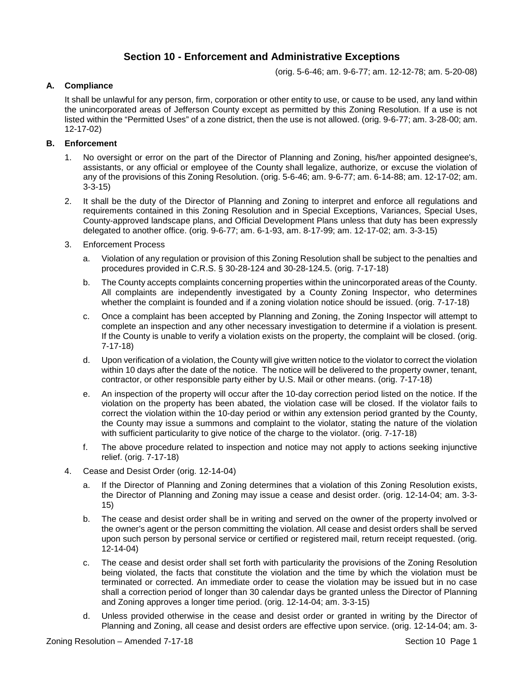# **Section 10 - Enforcement and Administrative Exceptions**

(orig. 5-6-46; am. 9-6-77; am. 12-12-78; am. 5-20-08)

### **A. Compliance**

It shall be unlawful for any person, firm, corporation or other entity to use, or cause to be used, any land within the unincorporated areas of Jefferson County except as permitted by this Zoning Resolution. If a use is not listed within the "Permitted Uses" of a zone district, then the use is not allowed. (orig. 9-6-77; am. 3-28-00; am. 12-17-02)

## **B. Enforcement**

- 1. No oversight or error on the part of the Director of Planning and Zoning, his/her appointed designee's, assistants, or any official or employee of the County shall legalize, authorize, or excuse the violation of any of the provisions of this Zoning Resolution. (orig. 5-6-46; am. 9-6-77; am. 6-14-88; am. 12-17-02; am. 3-3-15)
- 2. It shall be the duty of the Director of Planning and Zoning to interpret and enforce all regulations and requirements contained in this Zoning Resolution and in Special Exceptions, Variances, Special Uses, County-approved landscape plans, and Official Development Plans unless that duty has been expressly delegated to another office. (orig. 9-6-77; am. 6-1-93, am. 8-17-99; am. 12-17-02; am. 3-3-15)
- 3. Enforcement Process
	- a. Violation of any regulation or provision of this Zoning Resolution shall be subject to the penalties and procedures provided in C.R.S. § 30-28-124 and 30-28-124.5. (orig. 7-17-18)
	- b. The County accepts complaints concerning properties within the unincorporated areas of the County. All complaints are independently investigated by a County Zoning Inspector, who determines whether the complaint is founded and if a zoning violation notice should be issued. (orig. 7-17-18)
	- c. Once a complaint has been accepted by Planning and Zoning, the Zoning Inspector will attempt to complete an inspection and any other necessary investigation to determine if a violation is present. If the County is unable to verify a violation exists on the property, the complaint will be closed. (orig. 7-17-18)
	- d. Upon verification of a violation, the County will give written notice to the violator to correct the violation within 10 days after the date of the notice. The notice will be delivered to the property owner, tenant, contractor, or other responsible party either by U.S. Mail or other means. (orig. 7-17-18)
	- e. An inspection of the property will occur after the 10-day correction period listed on the notice. If the violation on the property has been abated, the violation case will be closed. If the violator fails to correct the violation within the 10-day period or within any extension period granted by the County, the County may issue a summons and complaint to the violator, stating the nature of the violation with sufficient particularity to give notice of the charge to the violator. (orig. 7-17-18)
	- f. The above procedure related to inspection and notice may not apply to actions seeking injunctive relief. (orig. 7-17-18)
- 4. Cease and Desist Order (orig. 12-14-04)
	- a. If the Director of Planning and Zoning determines that a violation of this Zoning Resolution exists, the Director of Planning and Zoning may issue a cease and desist order. (orig. 12-14-04; am. 3-3- 15)
	- b. The cease and desist order shall be in writing and served on the owner of the property involved or the owner's agent or the person committing the violation. All cease and desist orders shall be served upon such person by personal service or certified or registered mail, return receipt requested. (orig. 12-14-04)
	- c. The cease and desist order shall set forth with particularity the provisions of the Zoning Resolution being violated, the facts that constitute the violation and the time by which the violation must be terminated or corrected. An immediate order to cease the violation may be issued but in no case shall a correction period of longer than 30 calendar days be granted unless the Director of Planning and Zoning approves a longer time period. (orig. 12-14-04; am. 3-3-15)
	- d. Unless provided otherwise in the cease and desist order or granted in writing by the Director of Planning and Zoning, all cease and desist orders are effective upon service. (orig. 12-14-04; am. 3-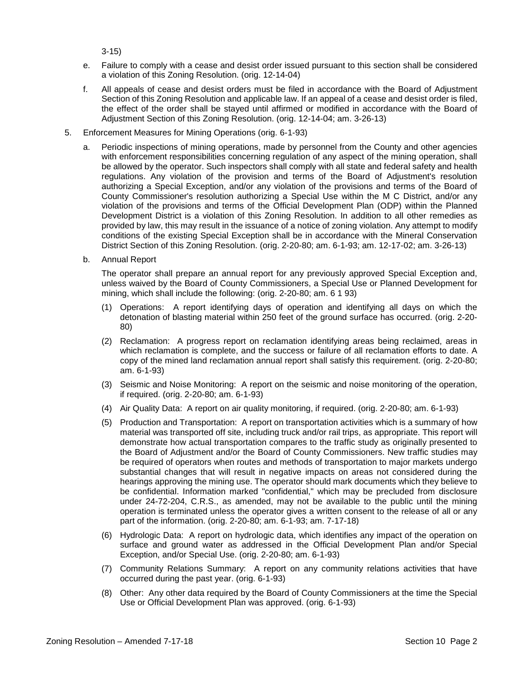3-15)

- e. Failure to comply with a cease and desist order issued pursuant to this section shall be considered a violation of this Zoning Resolution. (orig. 12-14-04)
- f. All appeals of cease and desist orders must be filed in accordance with the Board of Adjustment Section of this Zoning Resolution and applicable law. If an appeal of a cease and desist order is filed, the effect of the order shall be stayed until affirmed or modified in accordance with the Board of Adjustment Section of this Zoning Resolution. (orig. 12-14-04; am. 3-26-13)
- 5. Enforcement Measures for Mining Operations (orig. 6-1-93)
	- a. Periodic inspections of mining operations, made by personnel from the County and other agencies with enforcement responsibilities concerning regulation of any aspect of the mining operation, shall be allowed by the operator. Such inspectors shall comply with all state and federal safety and health regulations. Any violation of the provision and terms of the Board of Adjustment's resolution authorizing a Special Exception, and/or any violation of the provisions and terms of the Board of County Commissioner's resolution authorizing a Special Use within the M C District, and/or any violation of the provisions and terms of the Official Development Plan (ODP) within the Planned Development District is a violation of this Zoning Resolution. In addition to all other remedies as provided by law, this may result in the issuance of a notice of zoning violation. Any attempt to modify conditions of the existing Special Exception shall be in accordance with the Mineral Conservation District Section of this Zoning Resolution. (orig. 2-20-80; am. 6-1-93; am. 12-17-02; am. 3-26-13)
	- b. Annual Report

The operator shall prepare an annual report for any previously approved Special Exception and, unless waived by the Board of County Commissioners, a Special Use or Planned Development for mining, which shall include the following: (orig. 2-20-80; am. 6 1 93)

- (1) Operations: A report identifying days of operation and identifying all days on which the detonation of blasting material within 250 feet of the ground surface has occurred. (orig. 2-20- 80)
- (2) Reclamation: A progress report on reclamation identifying areas being reclaimed, areas in which reclamation is complete, and the success or failure of all reclamation efforts to date. A copy of the mined land reclamation annual report shall satisfy this requirement. (orig. 2-20-80; am. 6-1-93)
- (3) Seismic and Noise Monitoring: A report on the seismic and noise monitoring of the operation, if required. (orig. 2-20-80; am. 6-1-93)
- (4) Air Quality Data: A report on air quality monitoring, if required. (orig. 2-20-80; am. 6-1-93)
- (5) Production and Transportation: A report on transportation activities which is a summary of how material was transported off site, including truck and/or rail trips, as appropriate. This report will demonstrate how actual transportation compares to the traffic study as originally presented to the Board of Adjustment and/or the Board of County Commissioners. New traffic studies may be required of operators when routes and methods of transportation to major markets undergo substantial changes that will result in negative impacts on areas not considered during the hearings approving the mining use. The operator should mark documents which they believe to be confidential. Information marked "confidential," which may be precluded from disclosure under 24-72-204, C.R.S., as amended, may not be available to the public until the mining operation is terminated unless the operator gives a written consent to the release of all or any part of the information. (orig. 2-20-80; am. 6-1-93; am. 7-17-18)
- (6) Hydrologic Data: A report on hydrologic data, which identifies any impact of the operation on surface and ground water as addressed in the Official Development Plan and/or Special Exception, and/or Special Use. (orig. 2-20-80; am. 6-1-93)
- (7) Community Relations Summary: A report on any community relations activities that have occurred during the past year. (orig. 6-1-93)
- (8) Other: Any other data required by the Board of County Commissioners at the time the Special Use or Official Development Plan was approved. (orig. 6-1-93)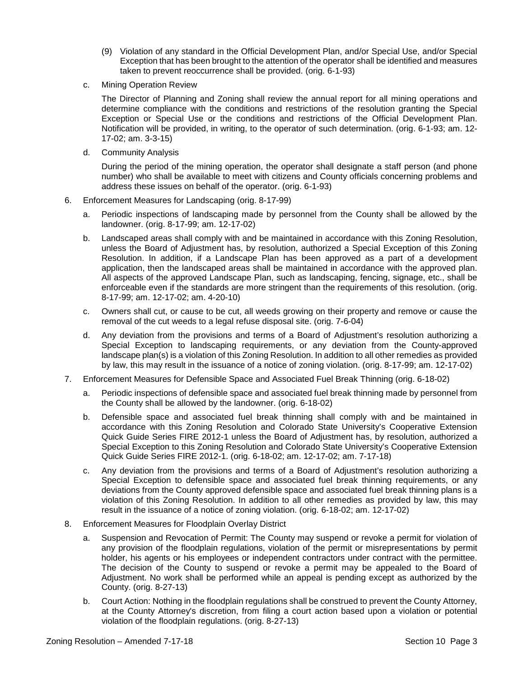- (9) Violation of any standard in the Official Development Plan, and/or Special Use, and/or Special Exception that has been brought to the attention of the operator shall be identified and measures taken to prevent reoccurrence shall be provided. (orig. 6-1-93)
- c. Mining Operation Review

The Director of Planning and Zoning shall review the annual report for all mining operations and determine compliance with the conditions and restrictions of the resolution granting the Special Exception or Special Use or the conditions and restrictions of the Official Development Plan. Notification will be provided, in writing, to the operator of such determination. (orig. 6-1-93; am. 12- 17-02; am. 3-3-15)

d. Community Analysis

During the period of the mining operation, the operator shall designate a staff person (and phone number) who shall be available to meet with citizens and County officials concerning problems and address these issues on behalf of the operator. (orig. 6-1-93)

- 6. Enforcement Measures for Landscaping (orig. 8-17-99)
	- a. Periodic inspections of landscaping made by personnel from the County shall be allowed by the landowner. (orig. 8-17-99; am. 12-17-02)
	- b. Landscaped areas shall comply with and be maintained in accordance with this Zoning Resolution, unless the Board of Adjustment has, by resolution, authorized a Special Exception of this Zoning Resolution. In addition, if a Landscape Plan has been approved as a part of a development application, then the landscaped areas shall be maintained in accordance with the approved plan. All aspects of the approved Landscape Plan, such as landscaping, fencing, signage, etc., shall be enforceable even if the standards are more stringent than the requirements of this resolution. (orig. 8-17-99; am. 12-17-02; am. 4-20-10)
	- c. Owners shall cut, or cause to be cut, all weeds growing on their property and remove or cause the removal of the cut weeds to a legal refuse disposal site. (orig. 7-6-04)
	- d. Any deviation from the provisions and terms of a Board of Adjustment's resolution authorizing a Special Exception to landscaping requirements, or any deviation from the County-approved landscape plan(s) is a violation of this Zoning Resolution. In addition to all other remedies as provided by law, this may result in the issuance of a notice of zoning violation. (orig. 8-17-99; am. 12-17-02)
- 7. Enforcement Measures for Defensible Space and Associated Fuel Break Thinning (orig. 6-18-02)
	- a. Periodic inspections of defensible space and associated fuel break thinning made by personnel from the County shall be allowed by the landowner. (orig. 6-18-02)
	- b. Defensible space and associated fuel break thinning shall comply with and be maintained in accordance with this Zoning Resolution and Colorado State University's Cooperative Extension Quick Guide Series FIRE 2012-1 unless the Board of Adjustment has, by resolution, authorized a Special Exception to this Zoning Resolution and Colorado State University's Cooperative Extension Quick Guide Series FIRE 2012-1. (orig. 6-18-02; am. 12-17-02; am. 7-17-18)
	- c. Any deviation from the provisions and terms of a Board of Adjustment's resolution authorizing a Special Exception to defensible space and associated fuel break thinning requirements, or any deviations from the County approved defensible space and associated fuel break thinning plans is a violation of this Zoning Resolution. In addition to all other remedies as provided by law, this may result in the issuance of a notice of zoning violation. (orig. 6-18-02; am. 12-17-02)
- 8. Enforcement Measures for Floodplain Overlay District
	- a. Suspension and Revocation of Permit: The County may suspend or revoke a permit for violation of any provision of the floodplain regulations, violation of the permit or misrepresentations by permit holder, his agents or his employees or independent contractors under contract with the permittee. The decision of the County to suspend or revoke a permit may be appealed to the Board of Adjustment. No work shall be performed while an appeal is pending except as authorized by the County. (orig. 8-27-13)
	- b. Court Action: Nothing in the floodplain regulations shall be construed to prevent the County Attorney, at the County Attorney's discretion, from filing a court action based upon a violation or potential violation of the floodplain regulations. (orig. 8-27-13)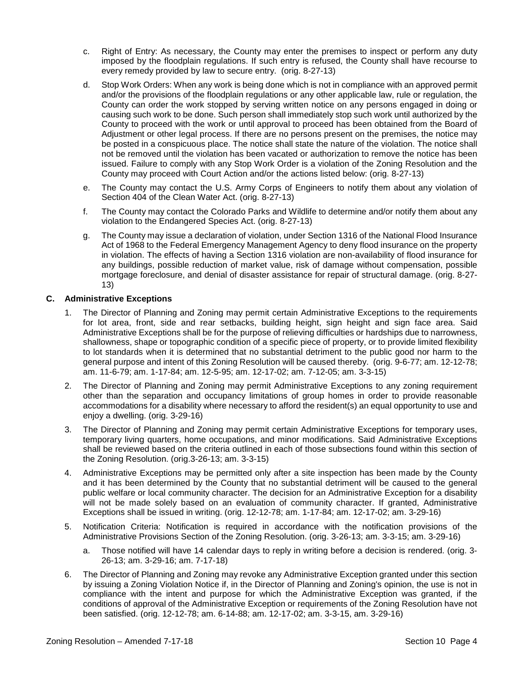- c. Right of Entry: As necessary, the County may enter the premises to inspect or perform any duty imposed by the floodplain regulations. If such entry is refused, the County shall have recourse to every remedy provided by law to secure entry. (orig. 8-27-13)
- d. Stop Work Orders: When any work is being done which is not in compliance with an approved permit and/or the provisions of the floodplain regulations or any other applicable law, rule or regulation, the County can order the work stopped by serving written notice on any persons engaged in doing or causing such work to be done. Such person shall immediately stop such work until authorized by the County to proceed with the work or until approval to proceed has been obtained from the Board of Adjustment or other legal process. If there are no persons present on the premises, the notice may be posted in a conspicuous place. The notice shall state the nature of the violation. The notice shall not be removed until the violation has been vacated or authorization to remove the notice has been issued. Failure to comply with any Stop Work Order is a violation of the Zoning Resolution and the County may proceed with Court Action and/or the actions listed below: (orig. 8-27-13)
- e. The County may contact the U.S. Army Corps of Engineers to notify them about any violation of Section 404 of the Clean Water Act. (orig. 8-27-13)
- f. The County may contact the Colorado Parks and Wildlife to determine and/or notify them about any violation to the Endangered Species Act. (orig. 8-27-13)
- g. The County may issue a declaration of violation, under Section 1316 of the National Flood Insurance Act of 1968 to the Federal Emergency Management Agency to deny flood insurance on the property in violation. The effects of having a Section 1316 violation are non-availability of flood insurance for any buildings, possible reduction of market value, risk of damage without compensation, possible mortgage foreclosure, and denial of disaster assistance for repair of structural damage. (orig. 8-27- 13)

## **C. Administrative Exceptions**

- 1. The Director of Planning and Zoning may permit certain Administrative Exceptions to the requirements for lot area, front, side and rear setbacks, building height, sign height and sign face area. Said Administrative Exceptions shall be for the purpose of relieving difficulties or hardships due to narrowness, shallowness, shape or topographic condition of a specific piece of property, or to provide limited flexibility to lot standards when it is determined that no substantial detriment to the public good nor harm to the general purpose and intent of this Zoning Resolution will be caused thereby. (orig. 9-6-77; am. 12-12-78; am. 11-6-79; am. 1-17-84; am. 12-5-95; am. 12-17-02; am. 7-12-05; am. 3-3-15)
- 2. The Director of Planning and Zoning may permit Administrative Exceptions to any zoning requirement other than the separation and occupancy limitations of group homes in order to provide reasonable accommodations for a disability where necessary to afford the resident(s) an equal opportunity to use and enjoy a dwelling. (orig. 3-29-16)
- 3. The Director of Planning and Zoning may permit certain Administrative Exceptions for temporary uses, temporary living quarters, home occupations, and minor modifications. Said Administrative Exceptions shall be reviewed based on the criteria outlined in each of those subsections found within this section of the Zoning Resolution. (orig.3-26-13; am. 3-3-15)
- 4. Administrative Exceptions may be permitted only after a site inspection has been made by the County and it has been determined by the County that no substantial detriment will be caused to the general public welfare or local community character. The decision for an Administrative Exception for a disability will not be made solely based on an evaluation of community character. If granted, Administrative Exceptions shall be issued in writing. (orig. 12-12-78; am. 1-17-84; am. 12-17-02; am. 3-29-16)
- 5. Notification Criteria: Notification is required in accordance with the notification provisions of the Administrative Provisions Section of the Zoning Resolution. (orig. 3-26-13; am. 3-3-15; am. 3-29-16)
	- a. Those notified will have 14 calendar days to reply in writing before a decision is rendered. (orig. 3- 26-13; am. 3-29-16; am. 7-17-18)
- 6. The Director of Planning and Zoning may revoke any Administrative Exception granted under this section by issuing a Zoning Violation Notice if, in the Director of Planning and Zoning's opinion, the use is not in compliance with the intent and purpose for which the Administrative Exception was granted, if the conditions of approval of the Administrative Exception or requirements of the Zoning Resolution have not been satisfied. (orig. 12-12-78; am. 6-14-88; am. 12-17-02; am. 3-3-15, am. 3-29-16)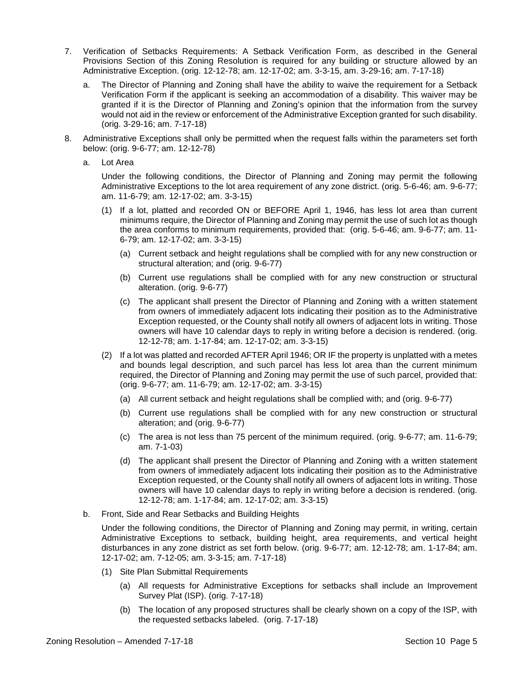- 7. Verification of Setbacks Requirements: A Setback Verification Form, as described in the General Provisions Section of this Zoning Resolution is required for any building or structure allowed by an Administrative Exception. (orig. 12-12-78; am. 12-17-02; am. 3-3-15, am. 3-29-16; am. 7-17-18)
	- a. The Director of Planning and Zoning shall have the ability to waive the requirement for a Setback Verification Form if the applicant is seeking an accommodation of a disability. This waiver may be granted if it is the Director of Planning and Zoning's opinion that the information from the survey would not aid in the review or enforcement of the Administrative Exception granted for such disability. (orig. 3-29-16; am. 7-17-18)
- 8. Administrative Exceptions shall only be permitted when the request falls within the parameters set forth below: (orig. 9-6-77; am. 12-12-78)
	- a. Lot Area

Under the following conditions, the Director of Planning and Zoning may permit the following Administrative Exceptions to the lot area requirement of any zone district. (orig. 5-6-46; am. 9-6-77; am. 11-6-79; am. 12-17-02; am. 3-3-15)

- (1) If a lot, platted and recorded ON or BEFORE April 1, 1946, has less lot area than current minimums require, the Director of Planning and Zoning may permit the use of such lot as though the area conforms to minimum requirements, provided that: (orig. 5-6-46; am. 9-6-77; am. 11- 6-79; am. 12-17-02; am. 3-3-15)
	- (a) Current setback and height regulations shall be complied with for any new construction or structural alteration; and (orig. 9-6-77)
	- (b) Current use regulations shall be complied with for any new construction or structural alteration. (orig. 9-6-77)
	- (c) The applicant shall present the Director of Planning and Zoning with a written statement from owners of immediately adjacent lots indicating their position as to the Administrative Exception requested, or the County shall notify all owners of adjacent lots in writing. Those owners will have 10 calendar days to reply in writing before a decision is rendered. (orig. 12-12-78; am. 1-17-84; am. 12-17-02; am. 3-3-15)
- (2) If a lot was platted and recorded AFTER April 1946; OR IF the property is unplatted with a metes and bounds legal description, and such parcel has less lot area than the current minimum required, the Director of Planning and Zoning may permit the use of such parcel, provided that: (orig. 9-6-77; am. 11-6-79; am. 12-17-02; am. 3-3-15)
	- (a) All current setback and height regulations shall be complied with; and (orig. 9-6-77)
	- (b) Current use regulations shall be complied with for any new construction or structural alteration; and (orig. 9-6-77)
	- (c) The area is not less than 75 percent of the minimum required. (orig. 9-6-77; am. 11-6-79; am. 7-1-03)
	- (d) The applicant shall present the Director of Planning and Zoning with a written statement from owners of immediately adjacent lots indicating their position as to the Administrative Exception requested, or the County shall notify all owners of adjacent lots in writing. Those owners will have 10 calendar days to reply in writing before a decision is rendered. (orig. 12-12-78; am. 1-17-84; am. 12-17-02; am. 3-3-15)
- b. Front, Side and Rear Setbacks and Building Heights

Under the following conditions, the Director of Planning and Zoning may permit, in writing, certain Administrative Exceptions to setback, building height, area requirements, and vertical height disturbances in any zone district as set forth below. (orig. 9-6-77; am. 12-12-78; am. 1-17-84; am. 12-17-02; am. 7-12-05; am. 3-3-15; am. 7-17-18)

- (1) Site Plan Submittal Requirements
	- (a) All requests for Administrative Exceptions for setbacks shall include an Improvement Survey Plat (ISP). (orig. 7-17-18)
	- (b) The location of any proposed structures shall be clearly shown on a copy of the ISP, with the requested setbacks labeled. (orig. 7-17-18)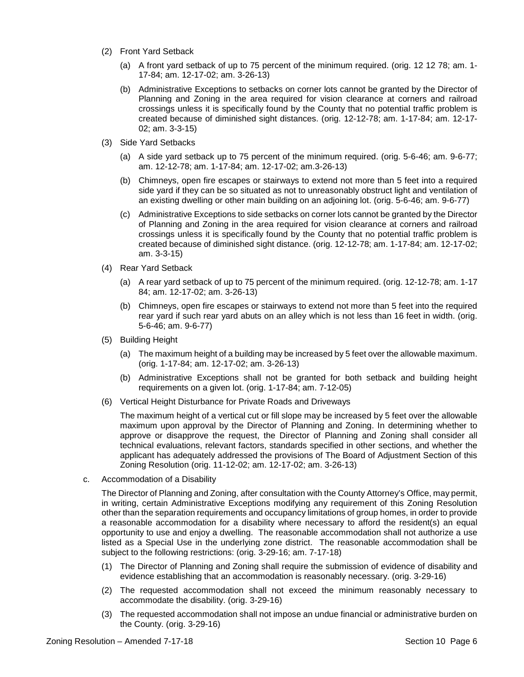- (2) Front Yard Setback
	- (a) A front yard setback of up to 75 percent of the minimum required. (orig. 12 12 78; am. 1- 17-84; am. 12-17-02; am. 3-26-13)
	- (b) Administrative Exceptions to setbacks on corner lots cannot be granted by the Director of Planning and Zoning in the area required for vision clearance at corners and railroad crossings unless it is specifically found by the County that no potential traffic problem is created because of diminished sight distances. (orig. 12-12-78; am. 1-17-84; am. 12-17- 02; am. 3-3-15)
- (3) Side Yard Setbacks
	- (a) A side yard setback up to 75 percent of the minimum required. (orig. 5-6-46; am. 9-6-77; am. 12-12-78; am. 1-17-84; am. 12-17-02; am.3-26-13)
	- (b) Chimneys, open fire escapes or stairways to extend not more than 5 feet into a required side yard if they can be so situated as not to unreasonably obstruct light and ventilation of an existing dwelling or other main building on an adjoining lot. (orig. 5-6-46; am. 9-6-77)
	- (c) Administrative Exceptions to side setbacks on corner lots cannot be granted by the Director of Planning and Zoning in the area required for vision clearance at corners and railroad crossings unless it is specifically found by the County that no potential traffic problem is created because of diminished sight distance. (orig. 12-12-78; am. 1-17-84; am. 12-17-02; am. 3-3-15)
- (4) Rear Yard Setback
	- (a) A rear yard setback of up to 75 percent of the minimum required. (orig. 12-12-78; am. 1-17 84; am. 12-17-02; am. 3-26-13)
	- (b) Chimneys, open fire escapes or stairways to extend not more than 5 feet into the required rear yard if such rear yard abuts on an alley which is not less than 16 feet in width. (orig. 5-6-46; am. 9-6-77)
- (5) Building Height
	- (a) The maximum height of a building may be increased by 5 feet over the allowable maximum. (orig. 1-17-84; am. 12-17-02; am. 3-26-13)
	- (b) Administrative Exceptions shall not be granted for both setback and building height requirements on a given lot. (orig. 1-17-84; am. 7-12-05)
- (6) Vertical Height Disturbance for Private Roads and Driveways

The maximum height of a vertical cut or fill slope may be increased by 5 feet over the allowable maximum upon approval by the Director of Planning and Zoning. In determining whether to approve or disapprove the request, the Director of Planning and Zoning shall consider all technical evaluations, relevant factors, standards specified in other sections, and whether the applicant has adequately addressed the provisions of The Board of Adjustment Section of this Zoning Resolution (orig. 11-12-02; am. 12-17-02; am. 3-26-13)

c. Accommodation of a Disability

The Director of Planning and Zoning, after consultation with the County Attorney's Office, may permit, in writing, certain Administrative Exceptions modifying any requirement of this Zoning Resolution other than the separation requirements and occupancy limitations of group homes, in order to provide a reasonable accommodation for a disability where necessary to afford the resident(s) an equal opportunity to use and enjoy a dwelling. The reasonable accommodation shall not authorize a use listed as a Special Use in the underlying zone district. The reasonable accommodation shall be subject to the following restrictions: (orig. 3-29-16; am. 7-17-18)

- (1) The Director of Planning and Zoning shall require the submission of evidence of disability and evidence establishing that an accommodation is reasonably necessary. (orig. 3-29-16)
- (2) The requested accommodation shall not exceed the minimum reasonably necessary to accommodate the disability. (orig. 3-29-16)
- (3) The requested accommodation shall not impose an undue financial or administrative burden on the County. (orig. 3-29-16)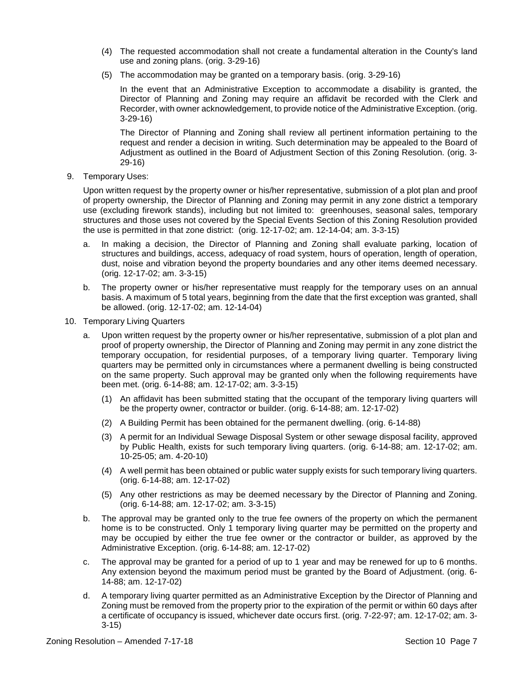- (4) The requested accommodation shall not create a fundamental alteration in the County's land use and zoning plans. (orig. 3-29-16)
- (5) The accommodation may be granted on a temporary basis. (orig. 3-29-16)

In the event that an Administrative Exception to accommodate a disability is granted, the Director of Planning and Zoning may require an affidavit be recorded with the Clerk and Recorder, with owner acknowledgement, to provide notice of the Administrative Exception. (orig. 3-29-16)

The Director of Planning and Zoning shall review all pertinent information pertaining to the request and render a decision in writing. Such determination may be appealed to the Board of Adjustment as outlined in the Board of Adjustment Section of this Zoning Resolution. (orig. 3- 29-16)

9. Temporary Uses:

Upon written request by the property owner or his/her representative, submission of a plot plan and proof of property ownership, the Director of Planning and Zoning may permit in any zone district a temporary use (excluding firework stands), including but not limited to: greenhouses, seasonal sales, temporary structures and those uses not covered by the Special Events Section of this Zoning Resolution provided the use is permitted in that zone district: (orig. 12-17-02; am. 12-14-04; am. 3-3-15)

- a. In making a decision, the Director of Planning and Zoning shall evaluate parking, location of structures and buildings, access, adequacy of road system, hours of operation, length of operation, dust, noise and vibration beyond the property boundaries and any other items deemed necessary. (orig. 12-17-02; am. 3-3-15)
- b. The property owner or his/her representative must reapply for the temporary uses on an annual basis. A maximum of 5 total years, beginning from the date that the first exception was granted, shall be allowed. (orig. 12-17-02; am. 12-14-04)
- 10. Temporary Living Quarters
	- a. Upon written request by the property owner or his/her representative, submission of a plot plan and proof of property ownership, the Director of Planning and Zoning may permit in any zone district the temporary occupation, for residential purposes, of a temporary living quarter. Temporary living quarters may be permitted only in circumstances where a permanent dwelling is being constructed on the same property. Such approval may be granted only when the following requirements have been met. (orig. 6-14-88; am. 12-17-02; am. 3-3-15)
		- (1) An affidavit has been submitted stating that the occupant of the temporary living quarters will be the property owner, contractor or builder. (orig. 6-14-88; am. 12-17-02)
		- (2) A Building Permit has been obtained for the permanent dwelling. (orig. 6-14-88)
		- (3) A permit for an Individual Sewage Disposal System or other sewage disposal facility, approved by Public Health, exists for such temporary living quarters. (orig. 6-14-88; am. 12-17-02; am. 10-25-05; am. 4-20-10)
		- (4) A well permit has been obtained or public water supply exists for such temporary living quarters. (orig. 6-14-88; am. 12-17-02)
		- (5) Any other restrictions as may be deemed necessary by the Director of Planning and Zoning. (orig. 6-14-88; am. 12-17-02; am. 3-3-15)
	- b. The approval may be granted only to the true fee owners of the property on which the permanent home is to be constructed. Only 1 temporary living quarter may be permitted on the property and may be occupied by either the true fee owner or the contractor or builder, as approved by the Administrative Exception. (orig. 6-14-88; am. 12-17-02)
	- c. The approval may be granted for a period of up to 1 year and may be renewed for up to 6 months. Any extension beyond the maximum period must be granted by the Board of Adjustment. (orig. 6- 14-88; am. 12-17-02)
	- d. A temporary living quarter permitted as an Administrative Exception by the Director of Planning and Zoning must be removed from the property prior to the expiration of the permit or within 60 days after a certificate of occupancy is issued, whichever date occurs first. (orig. 7-22-97; am. 12-17-02; am. 3- 3-15)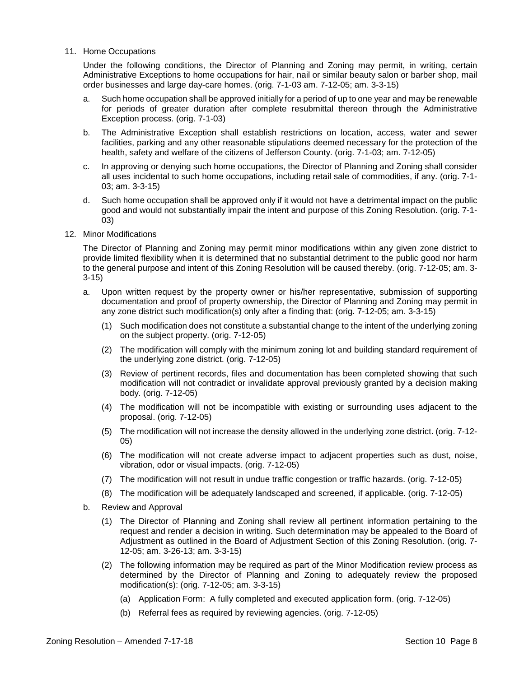11. Home Occupations

Under the following conditions, the Director of Planning and Zoning may permit, in writing, certain Administrative Exceptions to home occupations for hair, nail or similar beauty salon or barber shop, mail order businesses and large day-care homes. (orig. 7-1-03 am. 7-12-05; am. 3-3-15)

- a. Such home occupation shall be approved initially for a period of up to one year and may be renewable for periods of greater duration after complete resubmittal thereon through the Administrative Exception process. (orig. 7-1-03)
- b. The Administrative Exception shall establish restrictions on location, access, water and sewer facilities, parking and any other reasonable stipulations deemed necessary for the protection of the health, safety and welfare of the citizens of Jefferson County. (orig. 7-1-03; am. 7-12-05)
- c. In approving or denying such home occupations, the Director of Planning and Zoning shall consider all uses incidental to such home occupations, including retail sale of commodities, if any. (orig. 7-1- 03; am. 3-3-15)
- d. Such home occupation shall be approved only if it would not have a detrimental impact on the public good and would not substantially impair the intent and purpose of this Zoning Resolution. (orig. 7-1- 03)
- 12. Minor Modifications

The Director of Planning and Zoning may permit minor modifications within any given zone district to provide limited flexibility when it is determined that no substantial detriment to the public good nor harm to the general purpose and intent of this Zoning Resolution will be caused thereby. (orig. 7-12-05; am. 3- 3-15)

- a. Upon written request by the property owner or his/her representative, submission of supporting documentation and proof of property ownership, the Director of Planning and Zoning may permit in any zone district such modification(s) only after a finding that: (orig. 7-12-05; am. 3-3-15)
	- (1) Such modification does not constitute a substantial change to the intent of the underlying zoning on the subject property. (orig. 7-12-05)
	- (2) The modification will comply with the minimum zoning lot and building standard requirement of the underlying zone district. (orig. 7-12-05)
	- (3) Review of pertinent records, files and documentation has been completed showing that such modification will not contradict or invalidate approval previously granted by a decision making body. (orig. 7-12-05)
	- (4) The modification will not be incompatible with existing or surrounding uses adjacent to the proposal. (orig. 7-12-05)
	- (5) The modification will not increase the density allowed in the underlying zone district. (orig. 7-12- 05)
	- (6) The modification will not create adverse impact to adjacent properties such as dust, noise, vibration, odor or visual impacts. (orig. 7-12-05)
	- (7) The modification will not result in undue traffic congestion or traffic hazards. (orig. 7-12-05)
	- (8) The modification will be adequately landscaped and screened, if applicable. (orig. 7-12-05)
- b. Review and Approval
	- (1) The Director of Planning and Zoning shall review all pertinent information pertaining to the request and render a decision in writing. Such determination may be appealed to the Board of Adjustment as outlined in the Board of Adjustment Section of this Zoning Resolution. (orig. 7- 12-05; am. 3-26-13; am. 3-3-15)
	- (2) The following information may be required as part of the Minor Modification review process as determined by the Director of Planning and Zoning to adequately review the proposed modification(s): (orig. 7-12-05; am. 3-3-15)
		- (a) Application Form: A fully completed and executed application form. (orig. 7-12-05)
		- (b) Referral fees as required by reviewing agencies. (orig. 7-12-05)